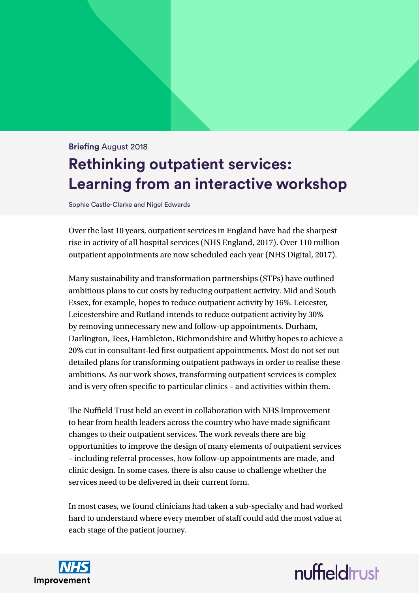# **Briefing** August 2018 **Rethinking outpatient services: Learning from an interactive workshop**

Sophie Castle-Clarke and Nigel Edwards

Over the last 10 years, outpatient services in England have had the sharpest rise in activity of all hospital services (NHS England, 2017). Over 110 million outpatient appointments are now scheduled each year (NHS Digital, 2017).

Many sustainability and transformation partnerships (STPs) have outlined ambitious plans to cut costs by reducing outpatient activity. Mid and South Essex, for example, hopes to reduce outpatient activity by 16%. Leicester, Leicestershire and Rutland intends to reduce outpatient activity by 30% by removing unnecessary new and follow-up appointments. Durham, Darlington, Tees, Hambleton, Richmondshire and Whitby hopes to achieve a 20% cut in consultant-led first outpatient appointments. Most do not set out detailed plans for transforming outpatient pathways in order to realise these ambitions. As our work shows, transforming outpatient services is complex and is very often specific to particular clinics – and activities within them.

The Nuffield Trust held an event in collaboration with NHS Improvement to hear from health leaders across the country who have made significant changes to their outpatient services. The work reveals there are big opportunities to improve the design of many elements of outpatient services – including referral processes, how follow-up appointments are made, and clinic design. In some cases, there is also cause to challenge whether the services need to be delivered in their current form.

In most cases, we found clinicians had taken a sub-specialty and had worked hard to understand where every member of staff could add the most value at each stage of the patient journey.



# nuffieldrust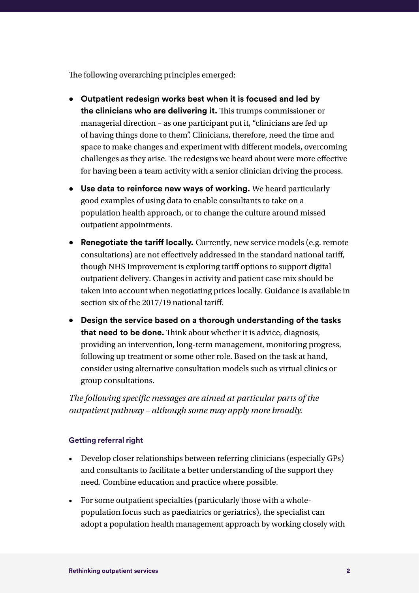The following overarching principles emerged:

- **Outpatient redesign works best when it is focused and led by the clinicians who are delivering it.** This trumps commissioner or managerial direction – as one participant put it, "clinicians are fed up of having things done to them". Clinicians, therefore, need the time and space to make changes and experiment with different models, overcoming challenges as they arise. The redesigns we heard about were more effective for having been a team activity with a senior clinician driving the process.
- **Use data to reinforce new ways of working.** We heard particularly good examples of using data to enable consultants to take on a population health approach, or to change the culture around missed outpatient appointments.
- **Renegotiate the tariff locally.** Currently, new service models (e.g. remote consultations) are not effectively addressed in the standard national tariff, though NHS Improvement is exploring tariff options to support digital outpatient delivery. Changes in activity and patient case mix should be taken into account when negotiating prices locally. Guidance is available in section six of the 2017/19 national tariff.
- **• Design the service based on a thorough understanding of the tasks that need to be done.** Think about whether it is advice, diagnosis, providing an intervention, long-term management, monitoring progress, following up treatment or some other role. Based on the task at hand, consider using alternative consultation models such as virtual clinics or group consultations.

*The following specific messages are aimed at particular parts of the outpatient pathway – although some may apply more broadly.*

#### **Getting referral right**

- Develop closer relationships between referring clinicians (especially GPs) and consultants to facilitate a better understanding of the support they need. Combine education and practice where possible.
- For some outpatient specialties (particularly those with a wholepopulation focus such as paediatrics or geriatrics), the specialist can adopt a population health management approach by working closely with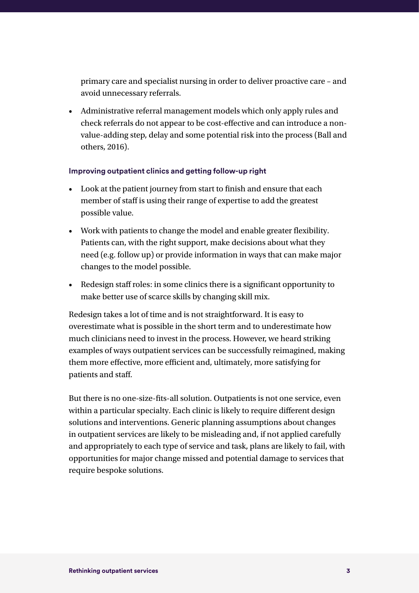primary care and specialist nursing in order to deliver proactive care – and avoid unnecessary referrals.

• Administrative referral management models which only apply rules and check referrals do not appear to be cost-effective and can introduce a nonvalue-adding step, delay and some potential risk into the process (Ball and others, 2016).

#### **Improving outpatient clinics and getting follow-up right**

- Look at the patient journey from start to finish and ensure that each member of staff is using their range of expertise to add the greatest possible value.
- Work with patients to change the model and enable greater flexibility. Patients can, with the right support, make decisions about what they need (e.g. follow up) or provide information in ways that can make major changes to the model possible.
- Redesign staff roles: in some clinics there is a significant opportunity to make better use of scarce skills by changing skill mix.

Redesign takes a lot of time and is not straightforward. It is easy to overestimate what is possible in the short term and to underestimate how much clinicians need to invest in the process. However, we heard striking examples of ways outpatient services can be successfully reimagined, making them more effective, more efficient and, ultimately, more satisfying for patients and staff.

But there is no one-size-fits-all solution. Outpatients is not one service, even within a particular specialty. Each clinic is likely to require different design solutions and interventions. Generic planning assumptions about changes in outpatient services are likely to be misleading and, if not applied carefully and appropriately to each type of service and task, plans are likely to fail, with opportunities for major change missed and potential damage to services that require bespoke solutions.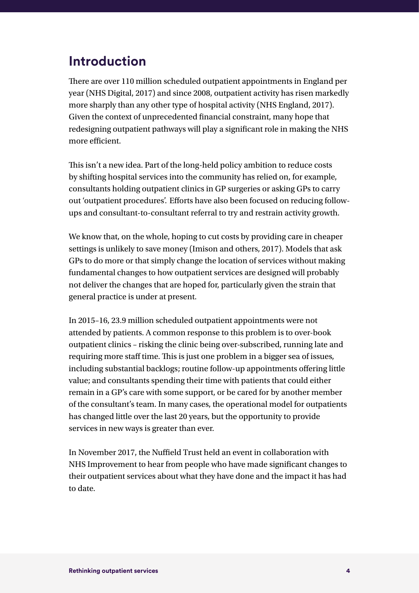## **Introduction**

There are over 110 million scheduled outpatient appointments in England per year (NHS Digital, 2017) and since 2008, outpatient activity has risen markedly more sharply than any other type of hospital activity (NHS England, 2017). Given the context of unprecedented financial constraint, many hope that redesigning outpatient pathways will play a significant role in making the NHS more efficient.

This isn't a new idea. Part of the long-held policy ambition to reduce costs by shifting hospital services into the community has relied on, for example, consultants holding outpatient clinics in GP surgeries or asking GPs to carry out 'outpatient procedures'. Efforts have also been focused on reducing followups and consultant-to-consultant referral to try and restrain activity growth.

We know that, on the whole, hoping to cut costs by providing care in cheaper settings is unlikely to save money (Imison and others, 2017). Models that ask GPs to do more or that simply change the location of services without making fundamental changes to how outpatient services are designed will probably not deliver the changes that are hoped for, particularly given the strain that general practice is under at present.

In 2015–16, 23.9 million scheduled outpatient appointments were not attended by patients. A common response to this problem is to over-book outpatient clinics – risking the clinic being over-subscribed, running late and requiring more staff time. This is just one problem in a bigger sea of issues, including substantial backlogs; routine follow-up appointments offering little value; and consultants spending their time with patients that could either remain in a GP's care with some support, or be cared for by another member of the consultant's team. In many cases, the operational model for outpatients has changed little over the last 20 years, but the opportunity to provide services in new ways is greater than ever.

In November 2017, the Nuffield Trust held an event in collaboration with NHS Improvement to hear from people who have made significant changes to their outpatient services about what they have done and the impact it has had to date.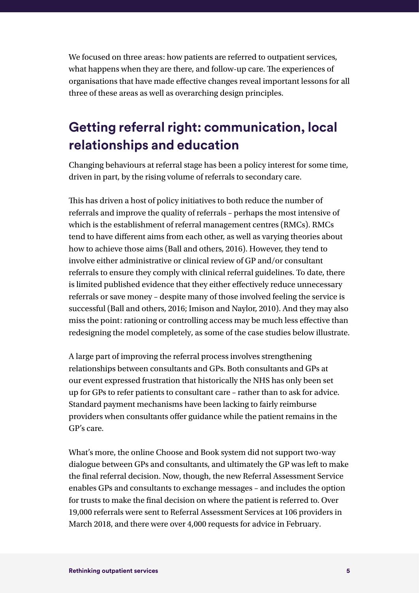We focused on three areas: how patients are referred to outpatient services, what happens when they are there, and follow-up care. The experiences of organisations that have made effective changes reveal important lessons for all three of these areas as well as overarching design principles.

## **Getting referral right: communication, local relationships and education**

Changing behaviours at referral stage has been a policy interest for some time, driven in part, by the rising volume of referrals to secondary care.

This has driven a host of policy initiatives to both reduce the number of referrals and improve the quality of referrals – perhaps the most intensive of which is the establishment of referral management centres (RMCs). RMCs tend to have different aims from each other, as well as varying theories about how to achieve those aims (Ball and others, 2016). However, they tend to involve either administrative or clinical review of GP and/or consultant referrals to ensure they comply with clinical referral guidelines. To date, there is limited published evidence that they either effectively reduce unnecessary referrals or save money – despite many of those involved feeling the service is successful (Ball and others, 2016; Imison and Naylor, 2010). And they may also miss the point: rationing or controlling access may be much less effective than redesigning the model completely, as some of the case studies below illustrate.

A large part of improving the referral process involves strengthening relationships between consultants and GPs. Both consultants and GPs at our event expressed frustration that historically the NHS has only been set up for GPs to refer patients to consultant care – rather than to ask for advice. Standard payment mechanisms have been lacking to fairly reimburse providers when consultants offer guidance while the patient remains in the GP's care.

What's more, the online Choose and Book system did not support two-way dialogue between GPs and consultants, and ultimately the GP was left to make the final referral decision. Now, though, the new Referral Assessment Service enables GPs and consultants to exchange messages – and includes the option for trusts to make the final decision on where the patient is referred to. Over 19,000 referrals were sent to Referral Assessment Services at 106 providers in March 2018, and there were over 4,000 requests for advice in February.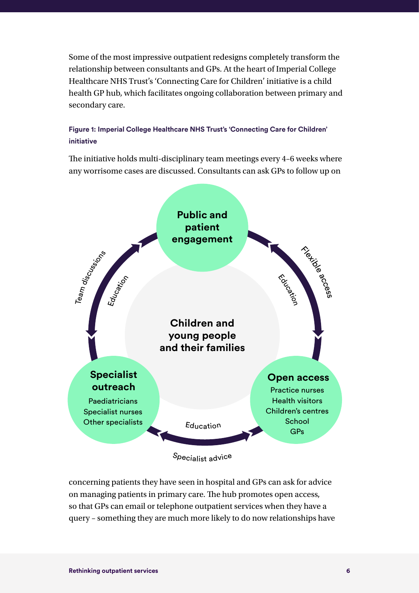Some of the most impressive outpatient redesigns completely transform the relationship between consultants and GPs. At the heart of Imperial College Healthcare NHS Trust's 'Connecting Care for Children' initiative is a child health GP hub, which facilitates ongoing collaboration between primary and secondary care.

#### **Figure 1: Imperial College Healthcare NHS Trust's 'Connecting Care for Children' initiative**

The initiative holds multi-disciplinary team meetings every 4–6 weeks where any worrisome cases are discussed. Consultants can ask GPs to follow up on



<sup>S</sup>pecialis<sup>t</sup> <sup>a</sup>dvic<sup>e</sup>

concerning patients they have seen in hospital and GPs can ask for advice on managing patients in primary care. The hub promotes open access, so that GPs can email or telephone outpatient services when they have a query – something they are much more likely to do now relationships have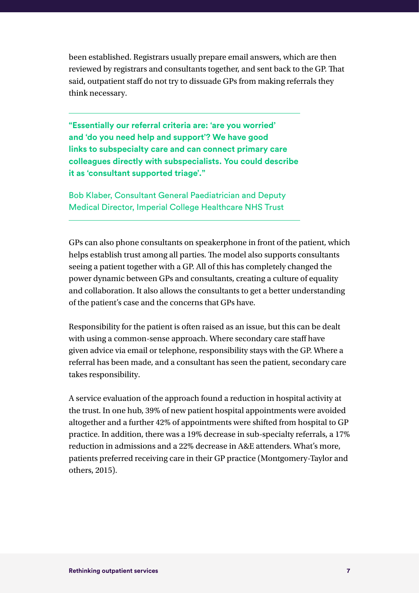been established. Registrars usually prepare email answers, which are then reviewed by registrars and consultants together, and sent back to the GP. That said, outpatient staff do not try to dissuade GPs from making referrals they think necessary.

**"Essentially our referral criteria are: 'are you worried' and 'do you need help and support'? We have good links to subspecialty care and can connect primary care colleagues directly with subspecialists. You could describe it as 'consultant supported triage'."** 

Bob Klaber, Consultant General Paediatrician and Deputy Medical Director, Imperial College Healthcare NHS Trust

GPs can also phone consultants on speakerphone in front of the patient, which helps establish trust among all parties. The model also supports consultants seeing a patient together with a GP. All of this has completely changed the power dynamic between GPs and consultants, creating a culture of equality and collaboration. It also allows the consultants to get a better understanding of the patient's case and the concerns that GPs have.

Responsibility for the patient is often raised as an issue, but this can be dealt with using a common-sense approach. Where secondary care staff have given advice via email or telephone, responsibility stays with the GP. Where a referral has been made, and a consultant has seen the patient, secondary care takes responsibility.

A service evaluation of the approach found a reduction in hospital activity at the trust. In one hub, 39% of new patient hospital appointments were avoided altogether and a further 42% of appointments were shifted from hospital to GP practice. In addition, there was a 19% decrease in sub-specialty referrals, a 17% reduction in admissions and a 22% decrease in A&E attenders. What's more, patients preferred receiving care in their GP practice (Montgomery-Taylor and others, 2015).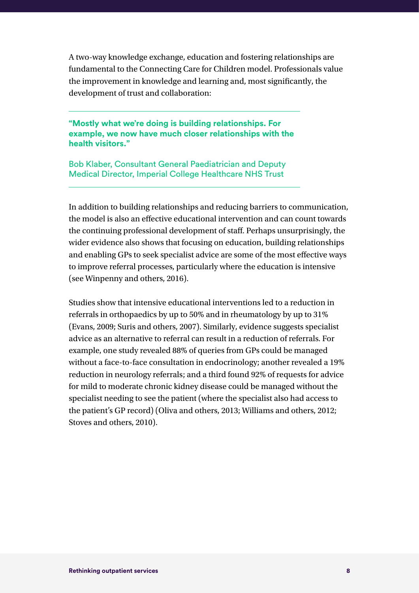A two-way knowledge exchange, education and fostering relationships are fundamental to the Connecting Care for Children model. Professionals value the improvement in knowledge and learning and, most significantly, the development of trust and collaboration:

**"Mostly what we're doing is building relationships. For example, we now have much closer relationships with the health visitors."**

Bob Klaber, Consultant General Paediatrician and Deputy Medical Director, Imperial College Healthcare NHS Trust

In addition to building relationships and reducing barriers to communication, the model is also an effective educational intervention and can count towards the continuing professional development of staff. Perhaps unsurprisingly, the wider evidence also shows that focusing on education, building relationships and enabling GPs to seek specialist advice are some of the most effective ways to improve referral processes, particularly where the education is intensive (see Winpenny and others, 2016).

Studies show that intensive educational interventions led to a reduction in referrals in orthopaedics by up to 50% and in rheumatology by up to 31% (Evans, 2009; Suris and others, 2007). Similarly, evidence suggests specialist advice as an alternative to referral can result in a reduction of referrals. For example, one study revealed 88% of queries from GPs could be managed without a face-to-face consultation in endocrinology; another revealed a 19% reduction in neurology referrals; and a third found 92% of requests for advice for mild to moderate chronic kidney disease could be managed without the specialist needing to see the patient (where the specialist also had access to the patient's GP record) (Oliva and others, 2013; Williams and others, 2012; Stoves and others, 2010).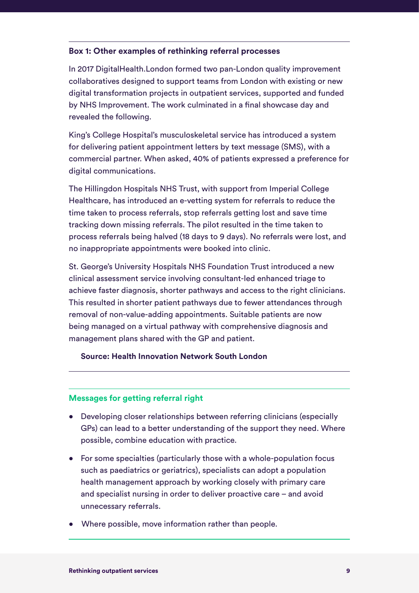#### **Box 1: Other examples of rethinking referral processes**

In 2017 DigitalHealth.London formed two pan-London quality improvement collaboratives designed to support teams from London with existing or new digital transformation projects in outpatient services, supported and funded by NHS Improvement. The work culminated in a final showcase day and revealed the following.

King's College Hospital's musculoskeletal service has introduced a system for delivering patient appointment letters by text message (SMS), with a commercial partner. When asked, 40% of patients expressed a preference for digital communications.

The Hillingdon Hospitals NHS Trust, with support from Imperial College Healthcare, has introduced an e-vetting system for referrals to reduce the time taken to process referrals, stop referrals getting lost and save time tracking down missing referrals. The pilot resulted in the time taken to process referrals being halved (18 days to 9 days). No referrals were lost, and no inappropriate appointments were booked into clinic.

St. George's University Hospitals NHS Foundation Trust introduced a new clinical assessment service involving consultant-led enhanced triage to achieve faster diagnosis, shorter pathways and access to the right clinicians. This resulted in shorter patient pathways due to fewer attendances through removal of non-value-adding appointments. Suitable patients are now being managed on a virtual pathway with comprehensive diagnosis and management plans shared with the GP and patient.

**Source: Health Innovation Network South London** 

#### **Messages for getting referral right**

- Developing closer relationships between referring clinicians (especially GPs) can lead to a better understanding of the support they need. Where possible, combine education with practice.
- For some specialties (particularly those with a whole-population focus such as paediatrics or geriatrics), specialists can adopt a population health management approach by working closely with primary care and specialist nursing in order to deliver proactive care – and avoid unnecessary referrals.
- Where possible, move information rather than people.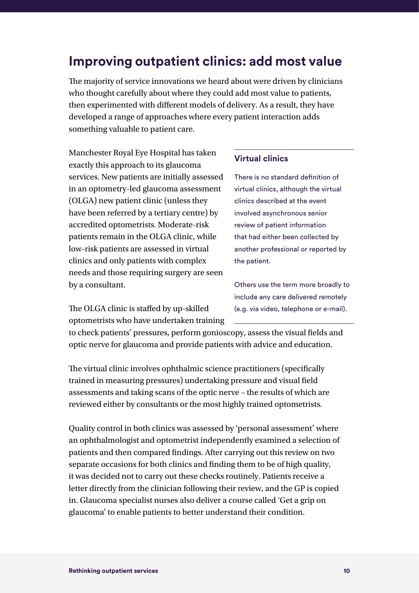### **Improving outpatient clinics: add most value**

The majority of service innovations we heard about were driven by clinicians who thought carefully about where they could add most value to patients, then experimented with different models of delivery. As a result, they have developed a range of approaches where every patient interaction adds something valuable to patient care.

Manchester Royal Eye Hospital has taken exactly this approach to its glaucoma services. New patients are initially assessed in an optometry-led glaucoma assessment (OLGA) new patient clinic (unless they have been referred by a tertiary centre) by accredited optometrists. Moderate-risk patients remain in the OLGA clinic, while low-risk patients are assessed in virtual clinics and only patients with complex needs and those requiring surgery are seen by a consultant.

The OLGA clinic is staffed by up-skilled optometrists who have undertaken training

#### **Virtual clinics**

There is no standard definition of virtual clinics, although the virtual clinics described at the event involved asynchronous senior review of patient information that had either been collected by another professional or reported by the patient.

Others use the term more broadly to include any care delivered remotely (e.g. via video, telephone or e-mail).

to check patients' pressures, perform gonioscopy, assess the visual fields and optic nerve for glaucoma and provide patients with advice and education.

The virtual clinic involves ophthalmic science practitioners (specifically trained in measuring pressures) undertaking pressure and visual field assessments and taking scans of the optic nerve – the results of which are reviewed either by consultants or the most highly trained optometrists.

Quality control in both clinics was assessed by 'personal assessment' where an ophthalmologist and optometrist independently examined a selection of patients and then compared findings. After carrying out this review on two separate occasions for both clinics and finding them to be of high quality, it was decided not to carry out these checks routinely. Patients receive a letter directly from the clinician following their review, and the GP is copied in. Glaucoma specialist nurses also deliver a course called 'Get a grip on glaucoma' to enable patients to better understand their condition.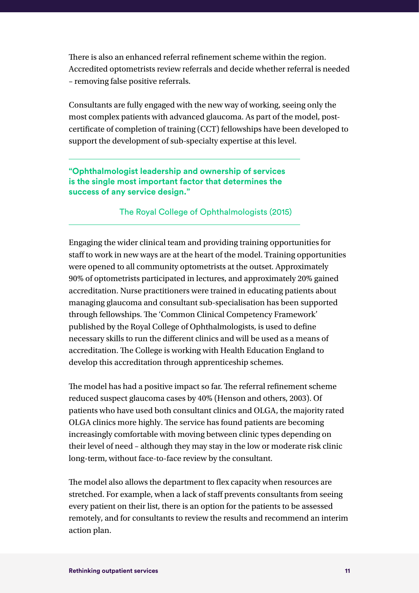There is also an enhanced referral refinement scheme within the region. Accredited optometrists review referrals and decide whether referral is needed – removing false positive referrals.

Consultants are fully engaged with the new way of working, seeing only the most complex patients with advanced glaucoma. As part of the model, postcertificate of completion of training (CCT) fellowships have been developed to support the development of sub-specialty expertise at this level.

#### **"Ophthalmologist leadership and ownership of services is the single most important factor that determines the success of any service design."**

#### The Royal College of Ophthalmologists (2015)

Engaging the wider clinical team and providing training opportunities for staff to work in new ways are at the heart of the model. Training opportunities were opened to all community optometrists at the outset. Approximately 90% of optometrists participated in lectures, and approximately 20% gained accreditation. Nurse practitioners were trained in educating patients about managing glaucoma and consultant sub-specialisation has been supported through fellowships. The 'Common Clinical Competency Framework' published by the Royal College of Ophthalmologists, is used to define necessary skills to run the different clinics and will be used as a means of accreditation. The College is working with Health Education England to develop this accreditation through apprenticeship schemes.

The model has had a positive impact so far. The referral refinement scheme reduced suspect glaucoma cases by 40% (Henson and others, 2003). Of patients who have used both consultant clinics and OLGA, the majority rated OLGA clinics more highly. The service has found patients are becoming increasingly comfortable with moving between clinic types depending on their level of need – although they may stay in the low or moderate risk clinic long-term, without face-to-face review by the consultant.

The model also allows the department to flex capacity when resources are stretched. For example, when a lack of staff prevents consultants from seeing every patient on their list, there is an option for the patients to be assessed remotely, and for consultants to review the results and recommend an interim action plan.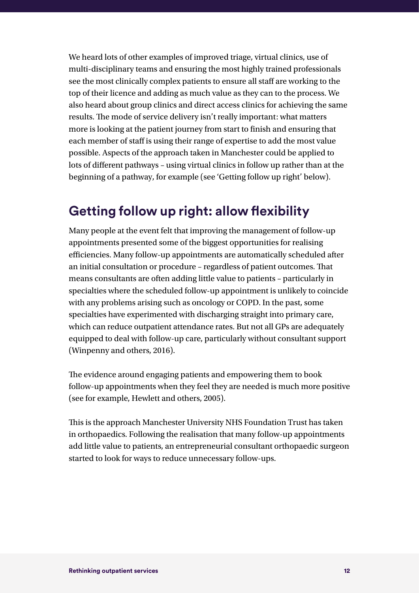We heard lots of other examples of improved triage, virtual clinics, use of multi-disciplinary teams and ensuring the most highly trained professionals see the most clinically complex patients to ensure all staff are working to the top of their licence and adding as much value as they can to the process. We also heard about group clinics and direct access clinics for achieving the same results. The mode of service delivery isn't really important: what matters more is looking at the patient journey from start to finish and ensuring that each member of staff is using their range of expertise to add the most value possible. Aspects of the approach taken in Manchester could be applied to lots of different pathways – using virtual clinics in follow up rather than at the beginning of a pathway, for example (see 'Getting follow up right' below).

### **Getting follow up right: allow flexibility**

Many people at the event felt that improving the management of follow-up appointments presented some of the biggest opportunities for realising efficiencies. Many follow-up appointments are automatically scheduled after an initial consultation or procedure – regardless of patient outcomes. That means consultants are often adding little value to patients – particularly in specialties where the scheduled follow-up appointment is unlikely to coincide with any problems arising such as oncology or COPD. In the past, some specialties have experimented with discharging straight into primary care, which can reduce outpatient attendance rates. But not all GPs are adequately equipped to deal with follow-up care, particularly without consultant support (Winpenny and others, 2016).

The evidence around engaging patients and empowering them to book follow-up appointments when they feel they are needed is much more positive (see for example, Hewlett and others, 2005).

This is the approach Manchester University NHS Foundation Trust has taken in orthopaedics. Following the realisation that many follow-up appointments add little value to patients, an entrepreneurial consultant orthopaedic surgeon started to look for ways to reduce unnecessary follow-ups.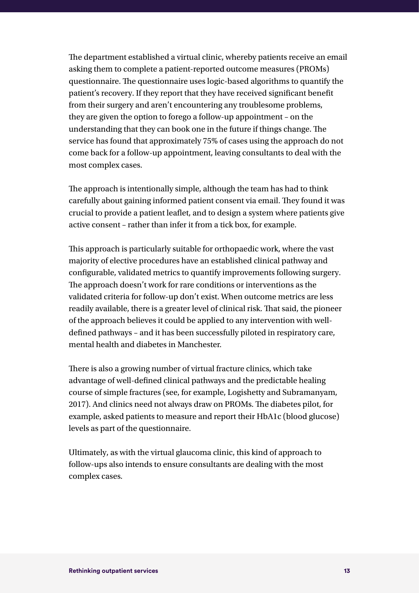The department established a virtual clinic, whereby patients receive an email asking them to complete a patient-reported outcome measures (PROMs) questionnaire. The questionnaire uses logic-based algorithms to quantify the patient's recovery. If they report that they have received significant benefit from their surgery and aren't encountering any troublesome problems, they are given the option to forego a follow-up appointment – on the understanding that they can book one in the future if things change. The service has found that approximately 75% of cases using the approach do not come back for a follow-up appointment, leaving consultants to deal with the most complex cases.

The approach is intentionally simple, although the team has had to think carefully about gaining informed patient consent via email. They found it was crucial to provide a patient leaflet, and to design a system where patients give active consent – rather than infer it from a tick box, for example.

This approach is particularly suitable for orthopaedic work, where the vast majority of elective procedures have an established clinical pathway and configurable, validated metrics to quantify improvements following surgery. The approach doesn't work for rare conditions or interventions as the validated criteria for follow-up don't exist. When outcome metrics are less readily available, there is a greater level of clinical risk. That said, the pioneer of the approach believes it could be applied to any intervention with welldefined pathways – and it has been successfully piloted in respiratory care, mental health and diabetes in Manchester.

There is also a growing number of virtual fracture clinics, which take advantage of well-defined clinical pathways and the predictable healing course of simple fractures (see, for example, Logishetty and Subramanyam, 2017). And clinics need not always draw on PROMs. The diabetes pilot, for example, asked patients to measure and report their HbA1c (blood glucose) levels as part of the questionnaire.

Ultimately, as with the virtual glaucoma clinic, this kind of approach to follow-ups also intends to ensure consultants are dealing with the most complex cases.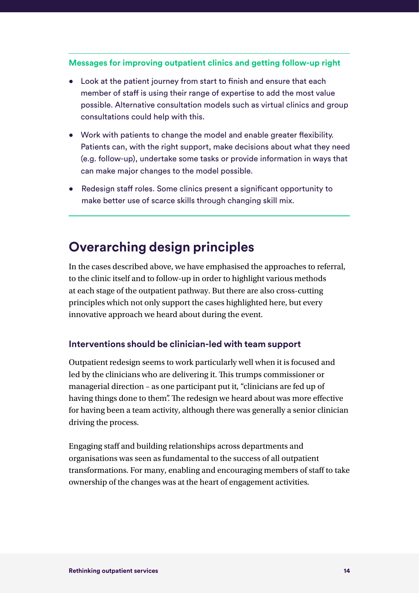#### **Messages for improving outpatient clinics and getting follow-up right**

- Look at the patient journey from start to finish and ensure that each member of staff is using their range of expertise to add the most value possible. Alternative consultation models such as virtual clinics and group consultations could help with this.
- Work with patients to change the model and enable greater flexibility. Patients can, with the right support, make decisions about what they need (e.g. follow-up), undertake some tasks or provide information in ways that can make major changes to the model possible.
- Redesign staff roles. Some clinics present a significant opportunity to make better use of scarce skills through changing skill mix.

### **Overarching design principles**

In the cases described above, we have emphasised the approaches to referral, to the clinic itself and to follow-up in order to highlight various methods at each stage of the outpatient pathway. But there are also cross-cutting principles which not only support the cases highlighted here, but every innovative approach we heard about during the event.

#### **Interventions should be clinician-led with team support**

Outpatient redesign seems to work particularly well when it is focused and led by the clinicians who are delivering it. This trumps commissioner or managerial direction – as one participant put it, "clinicians are fed up of having things done to them". The redesign we heard about was more effective for having been a team activity, although there was generally a senior clinician driving the process.

Engaging staff and building relationships across departments and organisations was seen as fundamental to the success of all outpatient transformations. For many, enabling and encouraging members of staff to take ownership of the changes was at the heart of engagement activities.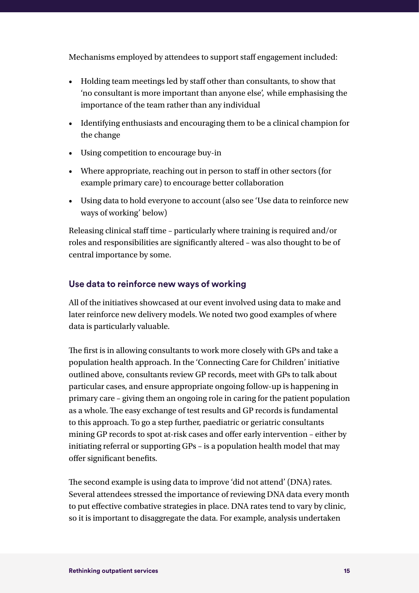Mechanisms employed by attendees to support staff engagement included:

- Holding team meetings led by staff other than consultants, to show that 'no consultant is more important than anyone else', while emphasising the importance of the team rather than any individual
- Identifying enthusiasts and encouraging them to be a clinical champion for the change
- Using competition to encourage buy-in
- Where appropriate, reaching out in person to staff in other sectors (for example primary care) to encourage better collaboration
- Using data to hold everyone to account (also see 'Use data to reinforce new ways of working' below)

Releasing clinical staff time – particularly where training is required and/or roles and responsibilities are significantly altered – was also thought to be of central importance by some.

#### **Use data to reinforce new ways of working**

All of the initiatives showcased at our event involved using data to make and later reinforce new delivery models. We noted two good examples of where data is particularly valuable.

The first is in allowing consultants to work more closely with GPs and take a population health approach. In the 'Connecting Care for Children' initiative outlined above, consultants review GP records, meet with GPs to talk about particular cases, and ensure appropriate ongoing follow-up is happening in primary care – giving them an ongoing role in caring for the patient population as a whole. The easy exchange of test results and GP records is fundamental to this approach. To go a step further, paediatric or geriatric consultants mining GP records to spot at-risk cases and offer early intervention – either by initiating referral or supporting GPs – is a population health model that may offer significant benefits.

The second example is using data to improve 'did not attend' (DNA) rates. Several attendees stressed the importance of reviewing DNA data every month to put effective combative strategies in place. DNA rates tend to vary by clinic, so it is important to disaggregate the data. For example, analysis undertaken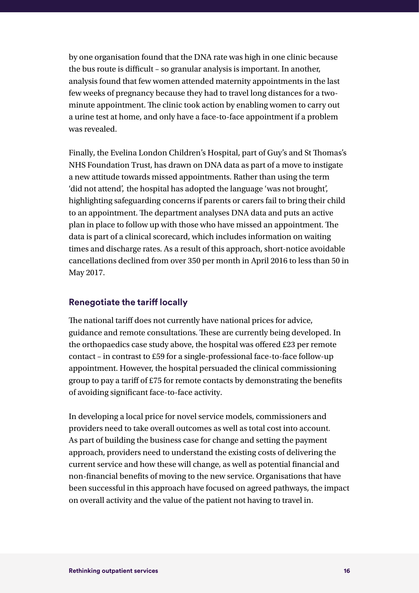by one organisation found that the DNA rate was high in one clinic because the bus route is difficult – so granular analysis is important. In another, analysis found that few women attended maternity appointments in the last few weeks of pregnancy because they had to travel long distances for a twominute appointment. The clinic took action by enabling women to carry out a urine test at home, and only have a face-to-face appointment if a problem was revealed.

Finally, the Evelina London Children's Hospital, part of Guy's and St Thomas's NHS Foundation Trust, has drawn on DNA data as part of a move to instigate a new attitude towards missed appointments. Rather than using the term 'did not attend', the hospital has adopted the language 'was not brought', highlighting safeguarding concerns if parents or carers fail to bring their child to an appointment. The department analyses DNA data and puts an active plan in place to follow up with those who have missed an appointment. The data is part of a clinical scorecard, which includes information on waiting times and discharge rates. As a result of this approach, short-notice avoidable cancellations declined from over 350 per month in April 2016 to less than 50 in May 2017.

#### **Renegotiate the tariff locally**

The national tariff does not currently have national prices for advice, guidance and remote consultations. These are currently being developed. In the orthopaedics case study above, the hospital was offered £23 per remote contact – in contrast to £59 for a single-professional face-to-face follow-up appointment. However, the hospital persuaded the clinical commissioning group to pay a tariff of £75 for remote contacts by demonstrating the benefits of avoiding significant face-to-face activity.

In developing a local price for novel service models, commissioners and providers need to take overall outcomes as well as total cost into account. As part of building the business case for change and setting the payment approach, providers need to understand the existing costs of delivering the current service and how these will change, as well as potential financial and non-financial benefits of moving to the new service. Organisations that have been successful in this approach have focused on agreed pathways, the impact on overall activity and the value of the patient not having to travel in.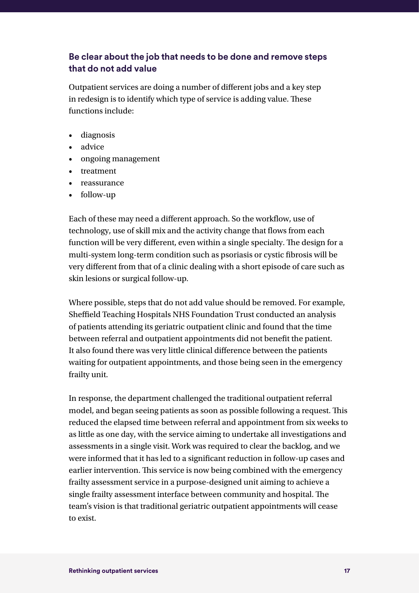#### **Be clear about the job that needs to be done and remove steps that do not add value**

Outpatient services are doing a number of different jobs and a key step in redesign is to identify which type of service is adding value. These functions include:

- diagnosis
- advice
- ongoing management
- treatment
- reassurance
- follow-up

Each of these may need a different approach. So the workflow, use of technology, use of skill mix and the activity change that flows from each function will be very different, even within a single specialty. The design for a multi-system long-term condition such as psoriasis or cystic fibrosis will be very different from that of a clinic dealing with a short episode of care such as skin lesions or surgical follow-up.

Where possible, steps that do not add value should be removed. For example, Sheffield Teaching Hospitals NHS Foundation Trust conducted an analysis of patients attending its geriatric outpatient clinic and found that the time between referral and outpatient appointments did not benefit the patient. It also found there was very little clinical difference between the patients waiting for outpatient appointments, and those being seen in the emergency frailty unit.

In response, the department challenged the traditional outpatient referral model, and began seeing patients as soon as possible following a request. This reduced the elapsed time between referral and appointment from six weeks to as little as one day, with the service aiming to undertake all investigations and assessments in a single visit. Work was required to clear the backlog, and we were informed that it has led to a significant reduction in follow-up cases and earlier intervention. This service is now being combined with the emergency frailty assessment service in a purpose-designed unit aiming to achieve a single frailty assessment interface between community and hospital. The team's vision is that traditional geriatric outpatient appointments will cease to exist.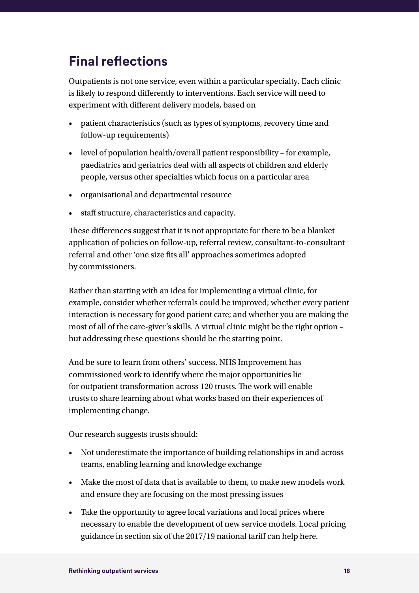# **Final reflections**

Outpatients is not one service, even within a particular specialty. Each clinic is likely to respond differently to interventions. Each service will need to experiment with different delivery models, based on

- patient characteristics (such as types of symptoms, recovery time and follow-up requirements)
- level of population health/overall patient responsibility for example, paediatrics and geriatrics deal with all aspects of children and elderly people, versus other specialties which focus on a particular area
- organisational and departmental resource
- staff structure, characteristics and capacity.

These differences suggest that it is not appropriate for there to be a blanket application of policies on follow-up, referral review, consultant-to-consultant referral and other 'one size fits all' approaches sometimes adopted by commissioners.

Rather than starting with an idea for implementing a virtual clinic, for example, consider whether referrals could be improved; whether every patient interaction is necessary for good patient care; and whether you are making the most of all of the care-giver's skills. A virtual clinic might be the right option – but addressing these questions should be the starting point.

And be sure to learn from others' success. NHS Improvement has commissioned work to identify where the major opportunities lie for outpatient transformation across 120 trusts. The work will enable trusts to share learning about what works based on their experiences of implementing change.

Our research suggests trusts should:

- Not underestimate the importance of building relationships in and across teams, enabling learning and knowledge exchange
- Make the most of data that is available to them, to make new models work and ensure they are focusing on the most pressing issues
- Take the opportunity to agree local variations and local prices where necessary to enable the development of new service models. Local pricing guidance in section six of the 2017/19 national tariff can help here.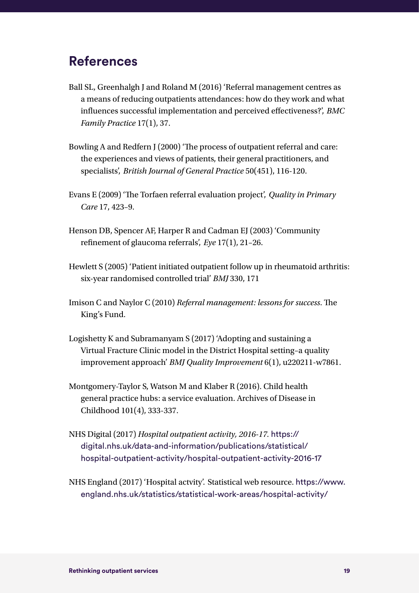### **References**

- Ball SL, Greenhalgh J and Roland M (2016) 'Referral management centres as a means of reducing outpatients attendances: how do they work and what influences successful implementation and perceived effectiveness?', *BMC Family Practice* 17(1), 37.
- Bowling A and Redfern J (2000) 'The process of outpatient referral and care: the experiences and views of patients, their general practitioners, and specialists', *British Journal of General Practice* 50(451), 116-120.
- Evans E (2009) 'The Torfaen referral evaluation project', *Quality in Primary Care* 17, 423–9.
- Henson DB, Spencer AF, Harper R and Cadman EJ (2003) 'Community refinement of glaucoma referrals', *Eye* 17(1), 21–26.
- Hewlett S (2005) 'Patient initiated outpatient follow up in rheumatoid arthritis: six-year randomised controlled trial' *BMJ* 330, 171
- Imison C and Naylor C (2010) *Referral management: lessons for success*. The King's Fund.
- Logishetty K and Subramanyam S (2017) 'Adopting and sustaining a Virtual Fracture Clinic model in the District Hospital setting–a quality improvement approach' *BMJ Quality Improvement* 6(1), u220211-w7861.
- Montgomery-Taylor S, Watson M and Klaber R (2016). Child health general practice hubs: a service evaluation. Archives of Disease in Childhood 101(4), 333-337.
- NHS Digital (2017) *Hospital outpatient activity, 2016-17.* [https://](https://digital.nhs.uk/data-and-information/publications/statistical/hospital-outpatient-activity/hospital-outpatient-activity-2016-17) [digital.nhs.uk/data-and-information/publications/statistical/](https://digital.nhs.uk/data-and-information/publications/statistical/hospital-outpatient-activity/hospital-outpatient-activity-2016-17) [hospital-outpatient-activity/hospital-outpatient-activity-2016-17](https://digital.nhs.uk/data-and-information/publications/statistical/hospital-outpatient-activity/hospital-outpatient-activity-2016-17)
- NHS England (2017) 'Hospital actvity'. Statistical web resource. https://www. england.nhs.uk/statistics/statistical-work-areas/hospital-activity/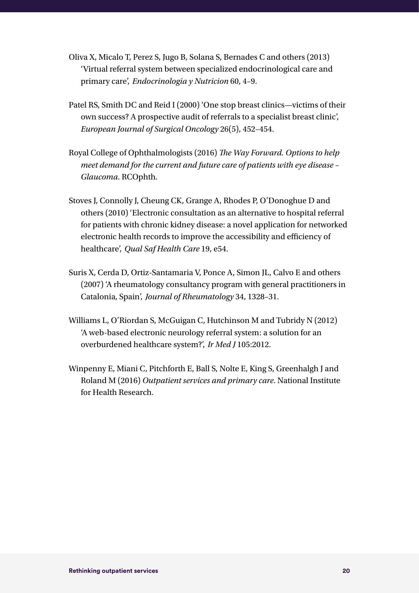- Oliva X, Micalo T, Perez S, Jugo B, Solana S, Bernades C and others (2013) 'Virtual referral system between specialized endocrinological care and primary care', *Endocrinologia y Nutricion* 60, 4–9.
- Patel RS, Smith DC and Reid I (2000) 'One stop breast clinics—victims of their own success? A prospective audit of referrals to a specialist breast clinic', *European Journal of Surgical Oncology* 26(5), 452–454.
- Royal College of Ophthalmologists (2016) *The Way Forward. Options to help meet demand for the current and future care of patients with eye disease* – *Glaucoma*. RCOphth.
- Stoves J, Connolly J, Cheung CK, Grange A, Rhodes P, O'Donoghue D and others (2010) 'Electronic consultation as an alternative to hospital referral for patients with chronic kidney disease: a novel application for networked electronic health records to improve the accessibility and efficiency of healthcare', *Qual Saf Health Care* 19, e54.
- Suris X, Cerda D, Ortiz-Santamaria V, Ponce A, Simon JL, Calvo E and others (2007) 'A rheumatology consultancy program with general practitioners in Catalonia, Spain', *Journal of Rheumatology* 34, 1328–31.
- Williams L, O'Riordan S, McGuigan C, Hutchinson M and Tubridy N (2012) 'A web-based electronic neurology referral system: a solution for an overburdened healthcare system?', *Ir Med J* 105:2012.
- Winpenny E, Miani C, Pitchforth E, Ball S, Nolte E, King S, Greenhalgh J and Roland M (2016) *Outpatient services and primary care*. National Institute for Health Research.